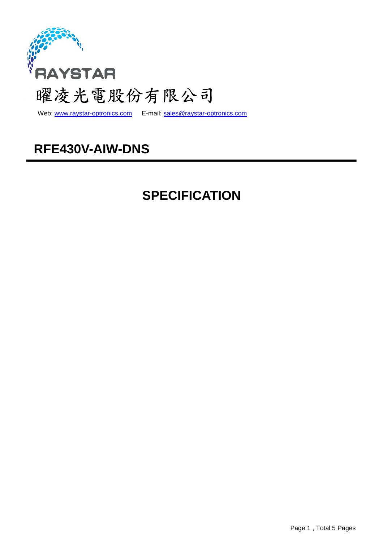

Web: www.raystar-optronics.com E-mail: sales@raystar-optronics.com

# **RFE430V-AIW-DNS**

# **SPECIFICATION**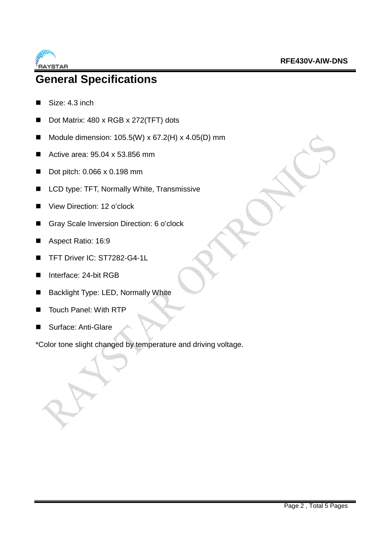

## **General Specifications**

- Size: 4.3 inch
- Dot Matrix: 480 x RGB x 272(TFT) dots
- Module dimension:  $105.5(W) \times 67.2(H) \times 4.05(D)$  mm
- Active area:  $95.04 \times 53.856$  mm
- Dot pitch: 0.066 x 0.198 mm
- LCD type: TFT, Normally White, Transmissive
- View Direction: 12 o'clock
- Gray Scale Inversion Direction: 6 o'clock
- Aspect Ratio: 16:9
- TFT Driver IC: ST7282-G4-1L
- Interface: 24-bit RGB
- Backlight Type: LED, Normally White
- Touch Panel: With RTP
- Surface: Anti-Glare

\*Color tone slight changed by temperature and driving voltage.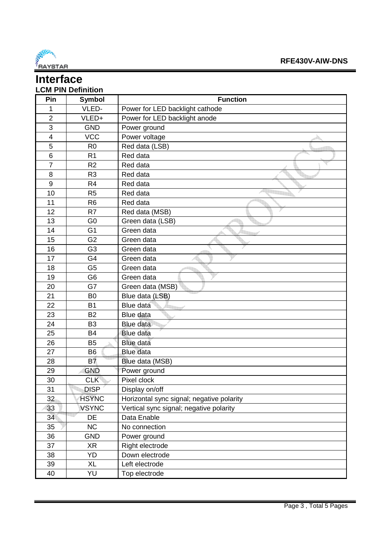

#### **Interface LCM PIN Definition**

| Pin              | <b>Symbol</b>  | <b>Function</b>                           |
|------------------|----------------|-------------------------------------------|
| 1                | VLED-          | Power for LED backlight cathode           |
| $\overline{2}$   | VLED+          | Power for LED backlight anode             |
| 3                | <b>GND</b>     | Power ground                              |
| $\overline{4}$   | <b>VCC</b>     | Power voltage                             |
| 5                | R <sub>0</sub> | Red data (LSB)                            |
| 6                | R <sub>1</sub> | Red data                                  |
| $\overline{7}$   | R <sub>2</sub> | Red data                                  |
| 8                | R <sub>3</sub> | Red data                                  |
| $\boldsymbol{9}$ | R <sub>4</sub> | Red data                                  |
| 10               | R <sub>5</sub> | Red data                                  |
| 11               | R <sub>6</sub> | Red data                                  |
| 12               | R7             | Red data (MSB)                            |
| 13               | G <sub>0</sub> | Green data (LSB)                          |
| 14               | G <sub>1</sub> | Green data                                |
| 15               | G <sub>2</sub> | Green data                                |
| 16               | G <sub>3</sub> | Green data                                |
| 17               | G <sub>4</sub> | Green data                                |
| 18               | G <sub>5</sub> | Green data                                |
| 19               | G <sub>6</sub> | Green data                                |
| 20               | G7             | Green data (MSB)                          |
| 21               | B <sub>0</sub> | Blue data (LSB)                           |
| 22               | <b>B1</b>      | Blue data                                 |
| 23               | <b>B2</b>      | Blue data                                 |
| 24               | B <sub>3</sub> | Blue data                                 |
| 25               | <b>B4</b>      | <b>Blue data</b>                          |
| 26               | <b>B5</b>      | <b>Blue data</b>                          |
| 27               | <b>B6</b>      | <b>Blue</b> data                          |
| 28               | <b>B7</b>      | Blue data (MSB)                           |
| 29               | <b>GND</b>     | Power ground                              |
| 30               | <b>CLK</b>     | Pixel clock                               |
| 31               | <b>DISP</b>    | Display on/off                            |
| 32               | <b>HSYNC</b>   | Horizontal sync signal; negative polarity |
| 33               | <b>VSYNC</b>   | Vertical sync signal; negative polarity   |
| 34               | DE             | Data Enable                               |
| 35               | <b>NC</b>      | No connection                             |
| 36               | <b>GND</b>     | Power ground                              |
| 37               | <b>XR</b>      | Right electrode                           |
| 38               | YD             | Down electrode                            |
| 39               | <b>XL</b>      | Left electrode                            |
| 40               | YU             | Top electrode                             |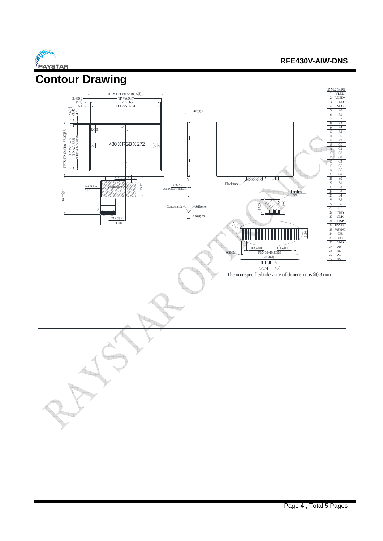

#### **RFE430V-AIW-DNS**

7

3 5 6 2 VLED+<br>3 GND<br>4 VCC 1  $2$  VLEI

R0 R2 R1 VCC

**VLED** 

**N NO SYMBO** 

R4 R5

R3

G3 G1 G2 G0 R7

 $\overline{G4}$ G5 19 G6

20 G7<br>
21 B0<br>
22 B1

22 23 B2 24 B3 25 B4

35 36

39 40 37 38 XR XL YD YU

29 GND 30 DISP CLK HSYNC VSYNC

27 B6 28 B7 26 B5

GND

 $\frac{9}{10}$ 8

15 17 16